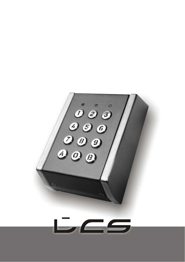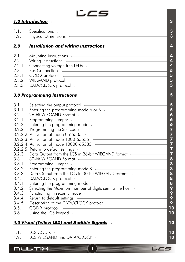

|                                                                                                                                        | <u>1.0 Introduction and the contract of the contract of the contract of the contract of the contract of the contract of the contract of the contract of the contract of the contract of the contract of the contract of the cont</u>                                                                                                                                                                                                                                                                                                                                                                                                                                                                                                                                                                                                                                                                                                                                                                                                                                                                                                                                                                                                                                                                                                                                                                                                                                                                                                                                                                                                                                                                                                                                                                                                                                                             | $\mathbf{3}$                                                                                                                                                                                                                                                              |
|----------------------------------------------------------------------------------------------------------------------------------------|--------------------------------------------------------------------------------------------------------------------------------------------------------------------------------------------------------------------------------------------------------------------------------------------------------------------------------------------------------------------------------------------------------------------------------------------------------------------------------------------------------------------------------------------------------------------------------------------------------------------------------------------------------------------------------------------------------------------------------------------------------------------------------------------------------------------------------------------------------------------------------------------------------------------------------------------------------------------------------------------------------------------------------------------------------------------------------------------------------------------------------------------------------------------------------------------------------------------------------------------------------------------------------------------------------------------------------------------------------------------------------------------------------------------------------------------------------------------------------------------------------------------------------------------------------------------------------------------------------------------------------------------------------------------------------------------------------------------------------------------------------------------------------------------------------------------------------------------------------------------------------------------------|---------------------------------------------------------------------------------------------------------------------------------------------------------------------------------------------------------------------------------------------------------------------------|
| 1.1.<br>1.2.                                                                                                                           | Specifications <b>Executive Contract Contract Contract Contract Contract Contract Contract Contract Contract Contract Contract Contract Contract Contract Contract Contract Contract Contract Contract Contract Contract Contrac</b><br>Physical Dimensions <b>Executive Contract Contract Contract Contract Contract Contract Contract Contract Contract Contract Contract Contract Contract Contract Contract Contract Contract Contract Contract Contract Contract Co</b>                                                                                                                                                                                                                                                                                                                                                                                                                                                                                                                                                                                                                                                                                                                                                                                                                                                                                                                                                                                                                                                                                                                                                                                                                                                                                                                                                                                                                     | $\boldsymbol{3}$<br>3                                                                                                                                                                                                                                                     |
| <u>2.0</u>                                                                                                                             | <u>Installation and wiring instructions results in the set of the set of the set of the set of the set of the set </u>                                                                                                                                                                                                                                                                                                                                                                                                                                                                                                                                                                                                                                                                                                                                                                                                                                                                                                                                                                                                                                                                                                                                                                                                                                                                                                                                                                                                                                                                                                                                                                                                                                                                                                                                                                           | 4                                                                                                                                                                                                                                                                         |
| 2.1.<br>2.2.<br>2.2.1.<br>2.3.<br>2.3.1.<br>2.3.2.<br>2.3.3.                                                                           | Mounting instructions <b>Executive Contract Contract Contract Contract Contract Contract Contract Contract Contract Contract Contract Contract Contract Contract Contract Contract Contract Contract Contract Contract Contract </b><br>Wiring instructions <b>Constant Constructions</b> and Constant Constructions and Constant Constant Constant Constant Constant Constant Constant Constant Constant Constant Constant Constant Constant Constant Constant Constant Co<br>Connecting voltage free LEDs - The Connection of the U.S. Connecting voltage free LEDs - The Connection of the U.S. Connection of the U.S. Connection of the U.S. Connection of the U.S. Connection of the U.S. Connection of<br>Bus Connection<br>CODIX protocol entertainment and the contract of the contract of the contract of the contract of the contract of the contract of the contract of the contract of the contract of the contract of the contract of the contract<br>WIEGAND protocol <b>with a state of the contract of the contract of the contract of the contract of the contract of the contract of the contract of the contract of the contract of the contract of the contract of the contract</b><br>DATA/CLOCK protocol entertainment and the contract of the contract of the contract of the contract of the contract of the contract of the contract of the contract of the contract of the contract of the contract of the cont                                                                                                                                                                                                                                                                                                                                                                                                                                                        | 4<br>4<br>4<br>$\overline{\mathbf{5}}$<br>$\overline{\mathbf{5}}$<br>5<br>5                                                                                                                                                                                               |
|                                                                                                                                        | 3.0 Programming instructions                                                                                                                                                                                                                                                                                                                                                                                                                                                                                                                                                                                                                                                                                                                                                                                                                                                                                                                                                                                                                                                                                                                                                                                                                                                                                                                                                                                                                                                                                                                                                                                                                                                                                                                                                                                                                                                                     | 5                                                                                                                                                                                                                                                                         |
| 3.1.<br>3.2.<br>3.2.1.<br>3.3.<br>3.3.1.<br>3.3.2.<br>3.3.3.<br>3.4.<br>3.4.1.<br>3.4.2.<br>3.4.3.<br>3.4.4.<br>3.4.5.<br>3.5.<br>3.6. | Selecting the output protocol <b>Exercise 2018</b><br>3.1.1. Entering the programming mode A or B<br>26-bit WIEGAND Format<br>Programming Jumper (2009) Programming Sumper (2009) Programming Sumper (2009) Programming Sumper (2009) Programming<br>3.2.2. Entering the programming mode - The Contract of the District of the programming mode - The Contract of the Contract of the District of the District of the District of the District of the District of the District of<br>3.2.2.1. Programming the Site code <b>COVERSITY COVERTS</b> 3.2.2.1.<br>3.2.2.2. Activation of mode 0-65535<br>3.2.2.3. Activation of mode 1000-65535<br>3.2.2.5. Return to default settings entitled and the settings of the settings of the settings of the settings of the settings of the settings of the settings of the settings of the settings of the settings of the settings<br>3.2.3. Data Output from the LCS in 26-bit WIEGAND format<br>30-bit WIEGAND Format<br><u> 1980 - Andrea Station Barbara, actor a component de la componentación de la componentación de la componentaci</u><br>Programming Jumper<br>Entering the programming mode B - The Context of the District of the B - Theorem and the District of the District of the District of the District of the District of the District of the District of the District of the Distr<br>Data Output from the LCS in 30-bit WIEGAND format - The Control of the USA Data Control of the USA Data Control of the USA Data Control of the USA Data Control of the USA Data Control of the USA Data Control of the USA Dat<br>DAIA/CLOCK protocol<br>Entering the programming mode<br>Selecting the Maximum number of digits sent to the host Fall Conservation<br>Functioning in security mode<br>Return to default settings<br>Description of the DATA/CLOCK protocol <b>Exercise 2018</b><br>CODIX protocol<br>Using the LCS keypad | $5\phantom{1}$<br>$5\overline{)}$<br>$\boldsymbol{6}$<br>$\boldsymbol{6}$<br>$\boldsymbol{6}$<br>$\overline{7}$<br>$\overline{7}$<br>7<br>$\overline{7}$<br>$\overline{7}$<br>$\overline{7}$<br>8<br>$\boldsymbol{8}$<br>8<br>8<br>8<br>8<br>9<br>9<br>9<br>9<br>10<br>10 |
|                                                                                                                                        | <u>4.0 Visual (Yellow LED) and Audible Signals Andrews And Audible Signals Andrews And Audible Signals</u>                                                                                                                                                                                                                                                                                                                                                                                                                                                                                                                                                                                                                                                                                                                                                                                                                                                                                                                                                                                                                                                                                                                                                                                                                                                                                                                                                                                                                                                                                                                                                                                                                                                                                                                                                                                       | 10                                                                                                                                                                                                                                                                        |
| 4.1.<br>4.2.                                                                                                                           | LCS CODIX<br>LCS WIEGAND and DATA/CLOCK - The CONSTRUCTION OF THE CONSTRUCTION OF THE CONSTRUCTION OF THE CONSTRUCTION OF THE CONSTRUCTION OF THE CONSTRUCTION OF THE CONSTRUCTION OF THE CONSTRUCTION OF THE CONSTRUCTION OF THE CONSTRUCT                                                                                                                                                                                                                                                                                                                                                                                                                                                                                                                                                                                                                                                                                                                                                                                                                                                                                                                                                                                                                                                                                                                                                                                                                                                                                                                                                                                                                                                                                                                                                                                                                                                      | 10<br>10                                                                                                                                                                                                                                                                  |
|                                                                                                                                        | MÚĽTIX                                                                                                                                                                                                                                                                                                                                                                                                                                                                                                                                                                                                                                                                                                                                                                                                                                                                                                                                                                                                                                                                                                                                                                                                                                                                                                                                                                                                                                                                                                                                                                                                                                                                                                                                                                                                                                                                                           |                                                                                                                                                                                                                                                                           |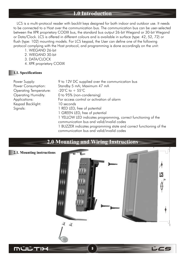# **1.0 Introduction**

 LCS is a multi-protocol reader with backlit keys designed for both indoor and outdoor use. It needs to be connected to a Host over the communication bus. The communication bus can be user-selected between the XPR proprietary CODIX bus, the standard bus output 26-bit Wiegand or 30-bit Wiegand or Data/Clock. LCS is offered in different colours and is available in surface (type: 42, 52, 72) or flush (type: 102) mounting models. For LCS keypad, the User can define one of the following protocol complying with the Host protocol, and programming is done accordingly on the unit:

1. WIEGAND 26-bit

- 2. WIEGAND 30-bit
- 3. DATA/CLOCK
- 4. XPR proprietary CODIX

#### **1.1. Specifications**

| Power Supply:                 | 9 to 12V DC supplied over the communication bus                     |
|-------------------------------|---------------------------------------------------------------------|
| Power Consumption:            | Standby 5 mA; Maximum 47 mA                                         |
| <b>Operating Temperature:</b> | -20 $\degree$ C to + 55 $\degree$ C                                 |
| <b>Operating Humidity:</b>    | 0 to 95% (non-condensing)                                           |
| Applications:                 | For access control or activation of alarm                           |
| Keypad Backlight:             | 10 seconds                                                          |
| Signals:                      | 1 RED LED, free of potential                                        |
|                               | 1 GREEN LED, free of potential                                      |
|                               | 1 YELLOW LED indicates programming, correct functioning of the      |
|                               | communication bus and valid/invalid codes                           |
|                               | 1 BUZZER indicates programming state and correct functioning of the |
|                               |                                                                     |

communication bus and valid/invalid codes

# **2.0 Mounting and Wiring Instructions 2.1. Mounting instructions**  $\theta$ LCS ♦ 44

3

じムミ

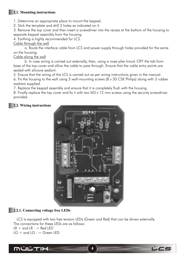# **2.1. Mounting instructions**

1. Determine an appropriate place to mount the keypad.

2. Stick the template and drill 3 holes as indicated on it.

3. Remove the top cover and then insert a screwdriver into the recess at the bottom of the housing to separate keypad assembly from the housing.

4. Earthing is highly recommended for LCS.

#### Cable through the wall

a. Route the interface cable from LCS and power supply through holes provided for the same on the housing.

Cable along the wall

b. In case wiring is carried out externally, then, using a nose-plier knock OFF the tab from base of the top-cover and allow the cable to pass through. Ensure that the cable entry points are sealed with silicone sealant.

5. Ensure that the wiring of the LCS is carried out as per wiring instructions given in the manual.

6. Fix the housing to the wall using 3 wall-mounting screws (8 x 30 CSK Philips) along with 3 rubber washers supplied.

7. Replace the keypad assembly and ensure that it is completely flush with the housing.

8. Finally replace the top cover and fix it with two M3 x 12 mm screws using the security screwdriver provided.

# **2.2. Wiring instructions**



# **2.2.1. Connecting voltage free LEDs**

 LCS is equipped with two free tension LEDs (Green and Red) that can be driven externally. The connections for these LEDs are as follows:  $LR +$  and  $LR -$  = Red LED  $LG +$  and  $LG -$  = Green LED



4

じムミ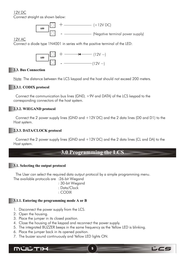# 12V DC

Connect straight as shown below:



## 12V AC

Connect a diode type 1N4001 in series with the positive terminal of the LED:



# **2.3. Bus Connection**

Note: The distance between the LCS keypad and the host should not exceed 200 meters.

# **2.3.1. CODIX protocol**

 Connect the communication bus lines (GND, +9V and DATA) of the LCS keypad to the corresponding connectors of the host system.

# **2.3.2. WIEGAND protocol**

Connect the 2 power supply lines (GND and  $+12V$  DC) and the 2 data lines (D0 and D1) to the Host system.

# **2.3.3. DATA/CLOCK protocol**

 Connect the 2 power supply lines (GND and +12V DC) and the 2 data lines (CL and DA) to the Host system.

# **3.0 Programming the LCS**

# **3.1. Selecting the output protocol**

 The User can select the required data output protocol by a simple programming menu. The available protocols are :26-bit Wiegand

: 30-bit Wiegand

- : Data/Clock
- : CODIX

# **3.1.1. Entering the programming mode A or B**

- 1. Disconnect the power supply from the LCS.
- 2. Open the housing.
- 3. Place the jumper in its closed position.
- 4. Close the housing of the keypad and reconnect the power supply.
- 5. The integrated BUZZER beeps in the same frequency as the Yellow LED is blinking.
- 6. Place the jumper back in its opened position.
- 7. The buzzer sound continuously and Yellow LED lights ON.

**MÚLTIX** 

5

LCS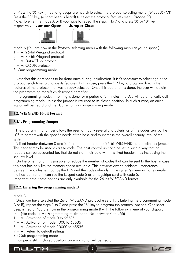8. Press the "A" key, (three long beeps are heard) to select the protocol selecting menu ("Mode A") OR Press the "B" key, (a short beep is heard) to select the protocol features menu ("Mode B") Note: To enter the mode A or B you have to repeat the steps 1 to 7 and press "A" or "B" key

respectively. **Jumper Open Jumper Close**





Mode A (You are now in the Protocol selecting menu with the following menu at your disposal):

1 + A: 26-bit Wiegand protocol

2 + A: 30-bit Wiegand protocol

3 + A: Data/Clock protocol

4 + A: CODIX protocol

B: Quit programming mode

 Note that this only needs to be done once during initialisation. It isn't necessary to select again the protocol each time to change its features. In this case, press the "B" key to program directly the features of the protocol that was already selected. Once this operation is done, the user will obtain the programming menu's as described hereafter.

 In programming mode, if nothing is done for a period of 3 minutes, the LCS will automatically quit programming mode, unless the jumper is returned to its closed position. In such a case, an error signal will be heard and the LCS remains in programming mode.

# **3.2. WIEGAND 26-bit Format**

# **3.2.1. Programming Jumper**

 The programming jumper allows the user to modify several characteristics of the codes sent by the LCS to comply with the specific needs of the host, and to increase the overall security level of the system.

 A fixed header (between 0 and 255) can be added to the 26-bit WIEGAND output with this jumper. This header may be used as a site code. The host control unit can be set in such a way that no readers can be accounted for, that do not start their data with this fixed header, thus increasing the security level.

 On the other hand, it is possible to reduce the number of codes that can be sent to the host in case this host has only limited memory space available. This prevents any coincidental interference between the codes sent out by the LCS and the codes already in the system's memory. For example, the host control unit can see the keypad code 5 as a magstripe card with code 5. Important note: these options are only available for the 26-bit WIEGAND format.

# **3.2.2. Entering the programming mode B**

# Mode B

 Once you have selected the 26-bit WIEGAND protocol (see 3.1.1. Entering the programming mode A or B), repeat the steps 1 to 7 and press the "B" key to program the protocol options. One short beep is heard. You are now in the programming mode B with the following menu at your disposal.

6

レニ

 $0 +$  (site code) + A : Programming of site code (No. between 0 to 255)

 $1 + A$ : Activation of mode 0 to 65535

 $4 + A$ : Activation of mode 1000 to 65535

5 + A : Activation of mode 10000 to 65535

- $9 + A$ : Return to default settings
- B : Quit programming mode

(If jumper is still in closed position, an error signal will be heard)

# **MULTIH**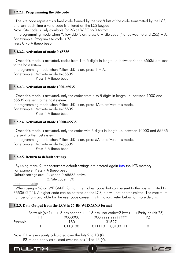#### **3.2.2.1. Programming the Site code**

 The site code represents a fixed code formed by the first 8 bits of the code transmitted by the LCS, and sent each time a valid code is entered on the LCS keypad. Note: Site code is only available for 26-bit WIEGAND format.

In programming mode when Yellow LED is on, press  $0 +$  site code (No. between 0 and 255) + A. For example: Program site code is 78 Press 0 78 A (beep beep)

**3.2.2.2. Activation of mode 0-65535**

 Once this mode is activated, codes from 1 to 5 digits in length i.e. between 0 and 65535 are sent to the host system.

In programming mode when Yellow LED is on, press  $1 + A$ . For example: Activate mode 0-65535 Press 1 A (beep beep)

#### **3.2.2.3. Activation of mode 1000-65535**

 Once this mode is activated, only the codes from 4 to 5 digits in length i.e. between 1000 and 65535 are sent to the host system.

In programming mode when Yellow LED is on, press 4A to activate this mode.

For example: Activate mode 0-65535

Press 4 A (beep beep)

#### **3.2.2.4. Activation of mode 10000-65535**

 Once this mode is activated, only the codes with 5 digits in length i.e. between 10000 and 65535 are sent to the host system.

In programming mode when Yellow LED is on, press 5A to activate this mode.

For example: Activate mode 0-65535

Press 5 A (beep beep)

#### **3.2.2.5. Return to default settings**

By using menu 9, the factory-set default settings are entered again into the LCS memory. For example: Press 9 A (beep beep) Default settings are: 1. Mode 0-65535 active

2. Site code: 170

Important Note:

MULTIX

 When using a 26-bit WIEGAND format, the highest code that can be sent to the host is limited to 65535 ( $2^{16}$ -1). A higher code can be entered on the LCS, but will not be transmitted. The maximum number of bits available for the user code causes this limitation. Refer below for more details.

#### **3.2.3. Data Output from the LCS in 26-Bit WIEGAND format**

|         |          | Parity bit (bit 1) $+8$ bits header $+$ 16 bits user code = 2 bytes | +Parity bit (bit 26) |
|---------|----------|---------------------------------------------------------------------|----------------------|
|         | XXXXXXXX | XXXXYYYY YYYYYYYY                                                   |                      |
| Example | 180.     | 31527                                                               |                      |
|         | 10110100 | 01111011 00100111                                                   |                      |

7

じムミ

Note:  $PI = even$  parity calculated over the bits 2 to 13 (X).

 $P2 =$  odd parity calculated over the bits 14 to 25 (Y).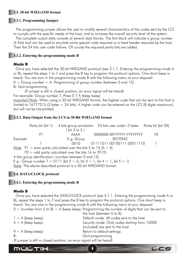## **3.3. 30-bit WIEGAND format**

#### **3.3.1. Programming Jumper**

 The programming jumper allows the user to modify several characteristics of the codes sent by the LCS to comply with the specific needs of the host, and to increase the overall security level of the system.

 The complete output data consists of several data blocks. The first block will indicate a group number (4 bits) and can be used to emulate some special code required or a fixed header required by the host. Then the 24 bits user code follows. Of course the required parity bits are added.

#### **3.3.2. Entering the programming mode B**

#### **Mode B**

 Once you have selected the 30-bit WIEGAND protocol (see 3.1.1. Entering the programming mode A or B), repeat the steps 1 to 7 and press the B key to program the protocol options. One short beep is heard. You are now in the programming mode B with the following menu at your disposal.  $0 +$  Group number  $+$  A: Programming of group number (between 0 and 15).

B: Quit programming

(If jumper is still in closed position, an error signal will be heard)

For example: Group number 7, Press 0 7 A (beep beep)

Important Note: When using a 30-bit WIEGAND format, the highest code that can be sent to the host is limited to  $16777215$  (3 bytes = 24 bits). A higher code can be entered on the LCS (8 digits maximum), but will not be transmitted.

#### **3.3.3. Data Output from the LCS in 30-Bit WIEGAND format**

|         |    | Parity bit (bit 1) 4 bits group emulation 24 bits user $code=3$ bytes                                                                                                                                                             |                            | Parity bit (bit 30) |
|---------|----|-----------------------------------------------------------------------------------------------------------------------------------------------------------------------------------------------------------------------------------|----------------------------|---------------------|
|         |    | bit 2 to 5 $)$                                                                                                                                                                                                                    |                            |                     |
|         | P1 | aaaa                                                                                                                                                                                                                              | XXXXXXX XXYYYYYY YYYYYYYY  | P2                  |
| Example |    | E.g. Group                                                                                                                                                                                                                        | 8070942                    |                     |
|         |    | 0010                                                                                                                                                                                                                              | 01111011 00100111 00011110 |                     |
|         |    | <u>Note</u> : P1 = even parity calculated over the bits 2 to 15 (A + X).                                                                                                                                                          |                            |                     |
|         |    | $P2 =$ odd parity calculated over the bits 16 to 29 (Y).                                                                                                                                                                          |                            |                     |
|         |    | 4 bits group identification: (number between 0 and 15)                                                                                                                                                                            |                            |                     |
|         |    | E.g.: Group number $7 = 0111$ (bit $2 = 0$ , bit $3 = 1$ , bit $4 = 1$ , bit $5 = 1$ )                                                                                                                                            |                            |                     |
|         |    | $\mathbf{M}$ . The contribution of the contribution of the contribution of the contribution of the contribution of the contribution of the contribution of the contribution of the contribution of the contribution of the contri |                            |                     |

Note: The above-described protocol is a 30-bit WIEGAND format.

#### **3.4. DATA/CLOCK protocol**

#### **3.4.1. Entering the programming mode B**

#### **Mode B**

 Once you have selected the DATA/CLOCK protocol (see 3.1.1. Entering the programming mode A or B), repeat the steps 1 to 7 and press the B key to program the protocol options. One short beep is heard. You are now in the programming mode B with the following menu at your disposal.  $0 +$  (number from 5 to 8) + A (beep beep): Programming the number of digits that can be sent to

|                                                                        | the host (between 5 to 8).                    |
|------------------------------------------------------------------------|-----------------------------------------------|
| $1 + A$ (beep beep):                                                   | Default mode. All codes sent to the host.     |
| $4 + A$ (beep beep):                                                   | Security mode. Only codes starting from 10000 |
|                                                                        | (included) are sent to the host.              |
| $9 + A$ (beep beep):                                                   | Return to default settings                    |
| B:                                                                     | Quit programming                              |
| (If jumper is still in closed position, an error signal will be heard) |                                               |
|                                                                        |                                               |

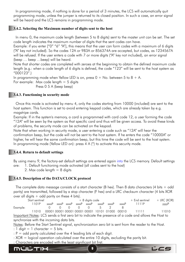In programming mode, if nothing is done for a period of 3 minutes, the LCS will automatically quit programming mode, unless the jumper is returned to its closed position. In such a case, an error signal will be heard and the LCS remains in programming mode.

# **3.4.2. Selecting the Maximum number of digits sent to the host**

In menu 0, the maximum code length (between 5 to 8 digits) sent to the master unit can be set. The set code length indicates the maximum number of digits that the sent codes can have.

Example: if you enter ["0" "6" "A"], this means that the user can form codes with a maximum of 6 digits ("A" key not included). So the codes 12A or 983A or 856374A are accepted, but codes, as 1234567A will be refused. If the user enters a code with 7 or more digits ("A" key not included), an error signal (beep … beep …beep) will be heard.

Note that shorter codes are completed with zeroes at the beginning to obtain the defined maximum code length (e.g.: when a code length of 6 digits is defined, the code "123" will be sent to the host system as "000123".)

In programming mode when Yellow LED is on, press  $0 + No$ . between 5 to  $8 + A$ . For example: Max code length  $=$  5 digits Press 0 5 A (beep beep)

# **3.4.3. Functioning in security mode**

 Once this mode is activated by menu 4, only the codes starting from 10000 (included) are sent to the host system. This function is set to avoid entering keypad codes, which are already taken by e.g. magstripe cards.

Example: If in the system's memory, a card is programmed with card code 12, a user forming the code "12A" will be seen by the system as that specific card and thus will be given access. To avoid these kinds of problems, the security mode can be activated on the keypad.

Note that when working in security mode, a user entering a code such as "12A" will hear the confirmation beep, but the code will not be sent to the host system. If he enters the code "10000A" or higher, he will hear the same confirmation beep, but this time the code will be sent to the host system. In programming mode (Yellow LED on): press 4 A (\*) to activate this security mode.

# **3.4.4. Return to default settings**

By using menu 9, the factory-set default settings are entered again into the LCS memory. Default settings are: 1. Default functioning mode activated (all codes sent to the host)

2. Max code length  $= 8$  digits

# **3.4.5. Description of the DATA/CLOCK protocol**

The complete data message consists of a start character (B hex). Then 8 data characters (4 bits  $+$  odd parity) are transmitted, followed by a stop character (F hex) and a LRC checksum character (4 bits XOR over all digits  $+$  odd parity on these 4 bits).

| Start sentinel |      |       | $+8$ digits code |       |          |          |       | $+$ End sentinel | $+$ LRC (XOR)                            |       |       |
|----------------|------|-------|------------------|-------|----------|----------|-------|------------------|------------------------------------------|-------|-------|
|                | 101P | xxxxP | ххххР            | ххххР | xxxxP    | xxxxP    | xxxxP | xxxxP            | xxxxP                                    | 1111P | yyyyP |
| Example:       |      |       |                  |       | $\Omega$ | $\Omega$ |       |                  |                                          |       |       |
|                | 1010 |       |                  |       |          |          |       |                  | 0000100001000010000100001101010100000010 | 11111 | 11010 |

Important Notes: LCS sends a first zero bit to indicate the presence of a code and allows the Host to synchronize with the incoming data bits.

Notes: Before the Start Sentinel signal, synchronization zero bit is sent from the reader to the Host.

- : 1 digit  $= 1$  character  $= 5$  bits.
- :  $P =$  odd parity calculated over the 4 leading bits of each digit.
- : XOR = logical operation calculated over the entire 10 digits, excluding the parity bit.
- : Characters are encoded with the least significant bit first.



9

LCS